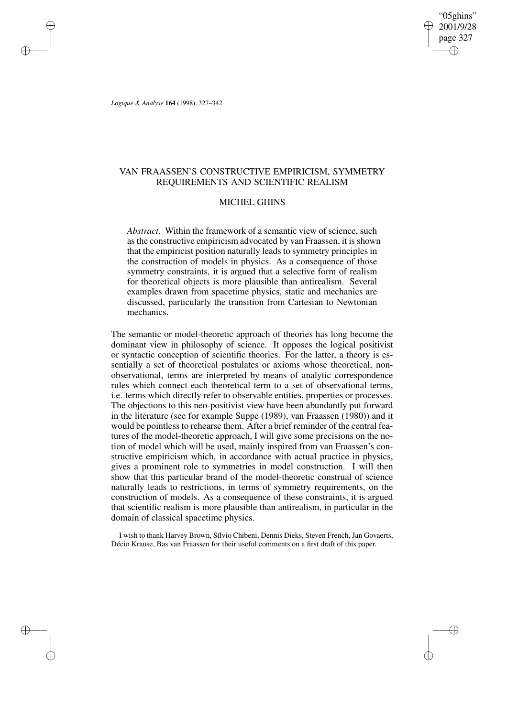# VAN FRAASSEN'S CONSTRUCTIVE EMPIRICISM, SYMMETRY REQUIREMENTS AND SCIENTIFIC REALISM

# MICHEL GHINS

*Abstract.* Within the framework of a semantic view of science, such as the constructive empiricism advocated by van Fraassen, it is shown that the empiricist position naturally leads to symmetry principles in the construction of models in physics. As a consequence of those symmetry constraints, it is argued that a selective form of realism for theoretical objects is more plausible than antirealism. Several examples drawn from spacetime physics, static and mechanics are discussed, particularly the transition from Cartesian to Newtonian mechanics.

The semantic or model-theoretic approach of theories has long become the dominant view in philosophy of science. It opposes the logical positivist or syntactic conception of scientific theories. For the latter, a theory is essentially a set of theoretical postulates or axioms whose theoretical, nonobservational, terms are interpreted by means of analytic correspondence rules which connect each theoretical term to a set of observational terms, i.e. terms which directly refer to observable entities, properties or processes. The objections to this neo-positivist view have been abundantly put forward in the literature (see for example Suppe (1989), van Fraassen (1980)) and it would be pointless to rehearse them. After a brief reminder of the central features of the model-theoretic approach, I will give some precisions on the notion of model which will be used, mainly inspired from van Fraassen's constructive empiricism which, in accordance with actual practice in physics, gives a prominent role to symmetries in model construction. I will then show that this particular brand of the model-theoretic construal of science naturally leads to restrictions, in terms of symmetry requirements, on the construction of models. As a consequence of these constraints, it is argued that scientific realism is more plausible than antirealism, in particular in the domain of classical spacetime physics.

I wish to thank Harvey Brown, Sílvio Chibeni, Dennis Dieks, Steven French, Jan Govaerts, Décio Krause, Bas van Fraassen for their useful comments on a first draft of this paper.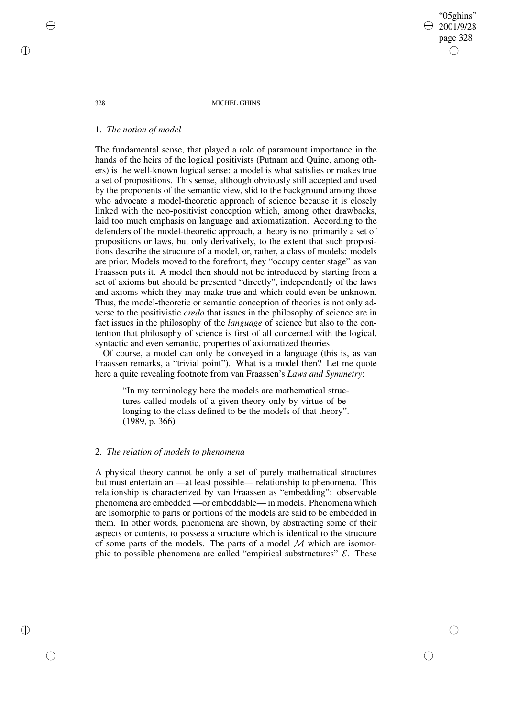# 1. *The notion of model*

The fundamental sense, that played a role of paramount importance in the hands of the heirs of the logical positivists (Putnam and Quine, among others) is the well-known logical sense: a model is what satisfies or makes true a set of propositions. This sense, although obviously still accepted and used by the proponents of the semantic view, slid to the background among those who advocate a model-theoretic approach of science because it is closely linked with the neo-positivist conception which, among other drawbacks, laid too much emphasis on language and axiomatization. According to the defenders of the model-theoretic approach, a theory is not primarily a set of propositions or laws, but only derivatively, to the extent that such propositions describe the structure of a model, or, rather, a class of models: models are prior. Models moved to the forefront, they "occupy center stage" as van Fraassen puts it. A model then should not be introduced by starting from a set of axioms but should be presented "directly", independently of the laws and axioms which they may make true and which could even be unknown. Thus, the model-theoretic or semantic conception of theories is not only adverse to the positivistic *credo* that issues in the philosophy of science are in fact issues in the philosophy of the *language* of science but also to the contention that philosophy of science is first of all concerned with the logical, syntactic and even semantic, properties of axiomatized theories.

Of course, a model can only be conveyed in a language (this is, as van Fraassen remarks, a "trivial point"). What is a model then? Let me quote here a quite revealing footnote from van Fraassen's *Laws and Symmetry*:

"In my terminology here the models are mathematical structures called models of a given theory only by virtue of belonging to the class defined to be the models of that theory". (1989, p. 366)

# 2. *The relation of models to phenomena*

A physical theory cannot be only a set of purely mathematical structures but must entertain an —at least possible— relationship to phenomena. This relationship is characterized by van Fraassen as "embedding": observable phenomena are embedded —or embeddable— in models. Phenomena which are isomorphic to parts or portions of the models are said to be embedded in them. In other words, phenomena are shown, by abstracting some of their aspects or contents, to possess a structure which is identical to the structure of some parts of the models. The parts of a model  $M$  which are isomorphic to possible phenomena are called "empirical substructures"  $\mathcal{E}$ . These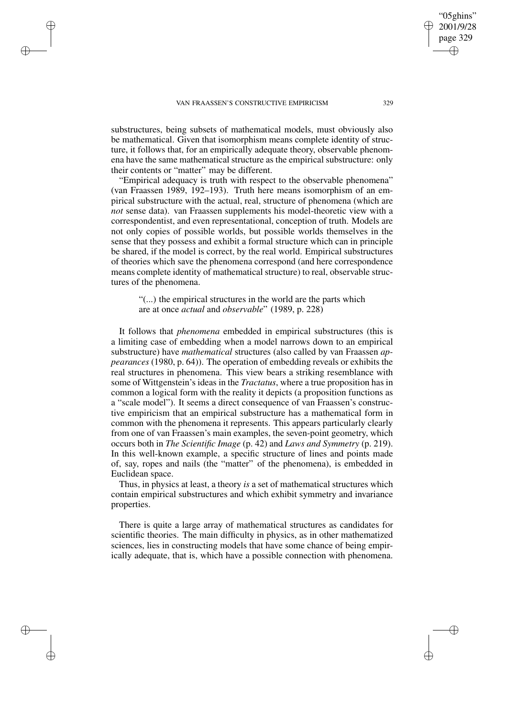substructures, being subsets of mathematical models, must obviously also be mathematical. Given that isomorphism means complete identity of structure, it follows that, for an empirically adequate theory, observable phenomena have the same mathematical structure as the empirical substructure: only their contents or "matter" may be different.

"Empirical adequacy is truth with respect to the observable phenomena" (van Fraassen 1989, 192–193). Truth here means isomorphism of an empirical substructure with the actual, real, structure of phenomena (which are *not* sense data). van Fraassen supplements his model-theoretic view with a correspondentist, and even representational, conception of truth. Models are not only copies of possible worlds, but possible worlds themselves in the sense that they possess and exhibit a formal structure which can in principle be shared, if the model is correct, by the real world. Empirical substructures of theories which save the phenomena correspond (and here correspondence means complete identity of mathematical structure) to real, observable structures of the phenomena.

"(...) the empirical structures in the world are the parts which are at once *actual* and *observable*" (1989, p. 228)

It follows that *phenomena* embedded in empirical substructures (this is a limiting case of embedding when a model narrows down to an empirical substructure) have *mathematical* structures (also called by van Fraassen *appearances* (1980, p. 64)). The operation of embedding reveals or exhibits the real structures in phenomena. This view bears a striking resemblance with some of Wittgenstein's ideas in the *Tractatus*, where a true proposition has in common a logical form with the reality it depicts (a proposition functions as a "scale model"). It seems a direct consequence of van Fraassen's constructive empiricism that an empirical substructure has a mathematical form in common with the phenomena it represents. This appears particularly clearly from one of van Fraassen's main examples, the seven-point geometry, which occurs both in *The Scientific Image* (p. 42) and *Laws and Symmetry* (p. 219). In this well-known example, a specific structure of lines and points made of, say, ropes and nails (the "matter" of the phenomena), is embedded in Euclidean space.

Thus, in physics at least, a theory *is* a set of mathematical structures which contain empirical substructures and which exhibit symmetry and invariance properties.

There is quite a large array of mathematical structures as candidates for scientific theories. The main difficulty in physics, as in other mathematized sciences, lies in constructing models that have some chance of being empirically adequate, that is, which have a possible connection with phenomena.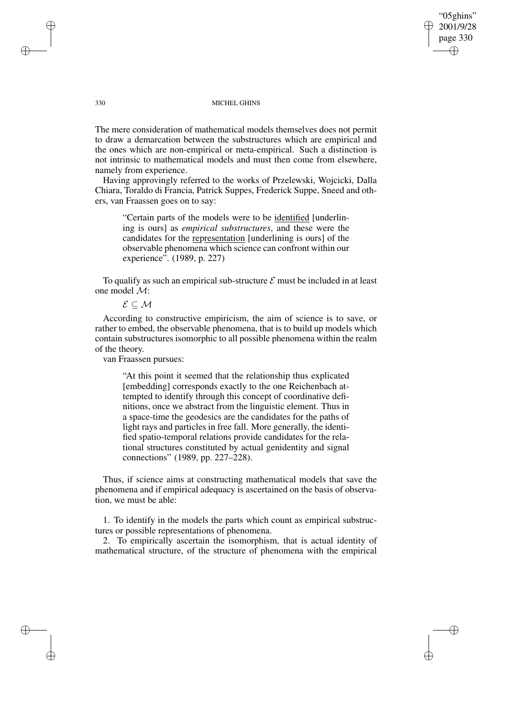The mere consideration of mathematical models themselves does not permit to draw a demarcation between the substructures which are empirical and the ones which are non-empirical or meta-empirical. Such a distinction is not intrinsic to mathematical models and must then come from elsewhere, namely from experience.

Having approvingly referred to the works of Przelewski, Wojcicki, Dalla Chiara, Toraldo di Francia, Patrick Suppes, Frederick Suppe, Sneed and others, van Fraassen goes on to say:

"Certain parts of the models were to be identified [underlining is ours] as *empirical substructures*, and these were the candidates for the representation [underlining is ours] of the observable phenomena which science can confront within our experience". (1989, p. 227)

To qualify as such an empirical sub-structure  $\mathcal E$  must be included in at least one model M:

 $\mathcal{E} \subseteq \mathcal{M}$ 

According to constructive empiricism, the aim of science is to save, or rather to embed, the observable phenomena, that is to build up models which contain substructures isomorphic to all possible phenomena within the realm of the theory.

van Fraassen pursues:

"At this point it seemed that the relationship thus explicated [embedding] corresponds exactly to the one Reichenbach attempted to identify through this concept of coordinative definitions, once we abstract from the linguistic element. Thus in a space-time the geodesics are the candidates for the paths of light rays and particles in free fall. More generally, the identified spatio-temporal relations provide candidates for the relational structures constituted by actual genidentity and signal connections" (1989, pp. 227–228).

Thus, if science aims at constructing mathematical models that save the phenomena and if empirical adequacy is ascertained on the basis of observation, we must be able:

1. To identify in the models the parts which count as empirical substructures or possible representations of phenomena.

2. To empirically ascertain the isomorphism, that is actual identity of mathematical structure, of the structure of phenomena with the empirical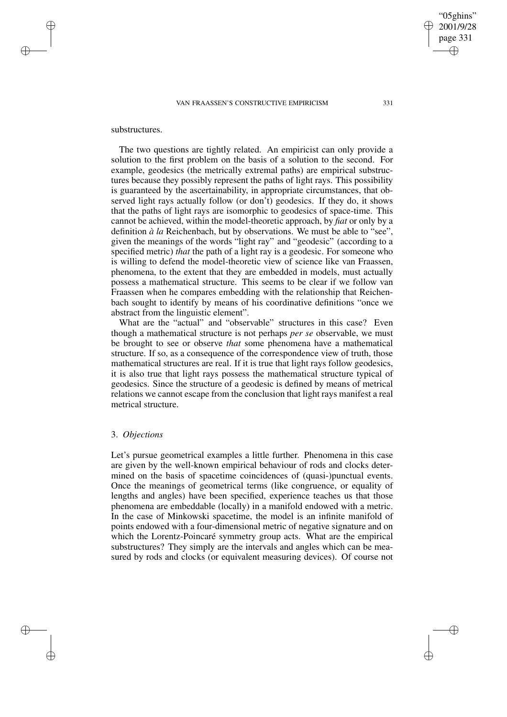### substructures.

The two questions are tightly related. An empiricist can only provide a solution to the first problem on the basis of a solution to the second. For example, geodesics (the metrically extremal paths) are empirical substructures because they possibly represent the paths of light rays. This possibility is guaranteed by the ascertainability, in appropriate circumstances, that observed light rays actually follow (or don't) geodesics. If they do, it shows that the paths of light rays are isomorphic to geodesics of space-time. This cannot be achieved, within the model-theoretic approach, by *fiat* or only by a definition *à la* Reichenbach, but by observations. We must be able to "see", given the meanings of the words "light ray" and "geodesic" (according to a specified metric) *that* the path of a light ray is a geodesic. For someone who is willing to defend the model-theoretic view of science like van Fraassen, phenomena, to the extent that they are embedded in models, must actually possess a mathematical structure. This seems to be clear if we follow van Fraassen when he compares embedding with the relationship that Reichenbach sought to identify by means of his coordinative definitions "once we abstract from the linguistic element".

What are the "actual" and "observable" structures in this case? Even though a mathematical structure is not perhaps *per se* observable, we must be brought to see or observe *that* some phenomena have a mathematical structure. If so, as a consequence of the correspondence view of truth, those mathematical structures are real. If it is true that light rays follow geodesics, it is also true that light rays possess the mathematical structure typical of geodesics. Since the structure of a geodesic is defined by means of metrical relations we cannot escape from the conclusion that light rays manifest a real metrical structure.

# 3. *Objections*

Let's pursue geometrical examples a little further. Phenomena in this case are given by the well-known empirical behaviour of rods and clocks determined on the basis of spacetime coincidences of (quasi-)punctual events. Once the meanings of geometrical terms (like congruence, or equality of lengths and angles) have been specified, experience teaches us that those phenomena are embeddable (locally) in a manifold endowed with a metric. In the case of Minkowski spacetime, the model is an infinite manifold of points endowed with a four-dimensional metric of negative signature and on which the Lorentz-Poincaré symmetry group acts. What are the empirical substructures? They simply are the intervals and angles which can be measured by rods and clocks (or equivalent measuring devices). Of course not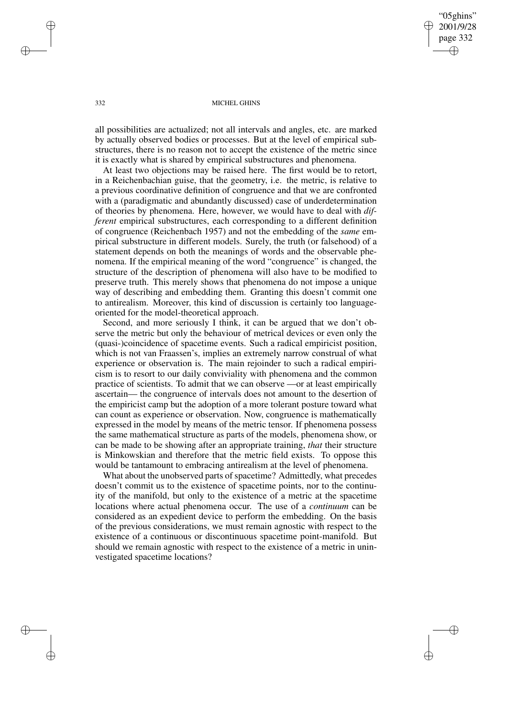all possibilities are actualized; not all intervals and angles, etc. are marked by actually observed bodies or processes. But at the level of empirical substructures, there is no reason not to accept the existence of the metric since it is exactly what is shared by empirical substructures and phenomena.

At least two objections may be raised here. The first would be to retort, in a Reichenbachian guise, that the geometry, i.e. the metric, is relative to a previous coordinative definition of congruence and that we are confronted with a (paradigmatic and abundantly discussed) case of underdetermination of theories by phenomena. Here, however, we would have to deal with *different* empirical substructures, each corresponding to a different definition of congruence (Reichenbach 1957) and not the embedding of the *same* empirical substructure in different models. Surely, the truth (or falsehood) of a statement depends on both the meanings of words and the observable phenomena. If the empirical meaning of the word "congruence" is changed, the structure of the description of phenomena will also have to be modified to preserve truth. This merely shows that phenomena do not impose a unique way of describing and embedding them. Granting this doesn't commit one to antirealism. Moreover, this kind of discussion is certainly too languageoriented for the model-theoretical approach.

Second, and more seriously I think, it can be argued that we don't observe the metric but only the behaviour of metrical devices or even only the (quasi-)coincidence of spacetime events. Such a radical empiricist position, which is not van Fraassen's, implies an extremely narrow construal of what experience or observation is. The main rejoinder to such a radical empiricism is to resort to our daily conviviality with phenomena and the common practice of scientists. To admit that we can observe —or at least empirically ascertain— the congruence of intervals does not amount to the desertion of the empiricist camp but the adoption of a more tolerant posture toward what can count as experience or observation. Now, congruence is mathematically expressed in the model by means of the metric tensor. If phenomena possess the same mathematical structure as parts of the models, phenomena show, or can be made to be showing after an appropriate training, *that* their structure is Minkowskian and therefore that the metric field exists. To oppose this would be tantamount to embracing antirealism at the level of phenomena.

What about the unobserved parts of spacetime? Admittedly, what precedes doesn't commit us to the existence of spacetime points, nor to the continuity of the manifold, but only to the existence of a metric at the spacetime locations where actual phenomena occur. The use of a *continuum* can be considered as an expedient device to perform the embedding. On the basis of the previous considerations, we must remain agnostic with respect to the existence of a continuous or discontinuous spacetime point-manifold. But should we remain agnostic with respect to the existence of a metric in uninvestigated spacetime locations?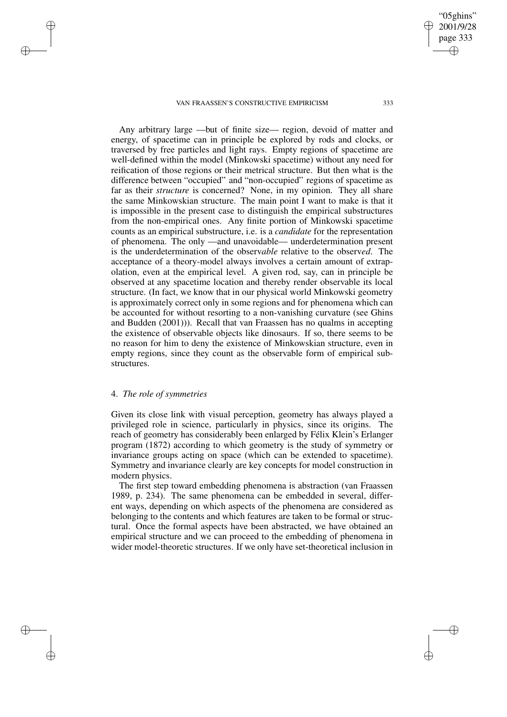Any arbitrary large —but of finite size— region, devoid of matter and energy, of spacetime can in principle be explored by rods and clocks, or traversed by free particles and light rays. Empty regions of spacetime are well-defined within the model (Minkowski spacetime) without any need for reification of those regions or their metrical structure. But then what is the difference between "occupied" and "non-occupied" regions of spacetime as far as their *structure* is concerned? None, in my opinion. They all share the same Minkowskian structure. The main point I want to make is that it is impossible in the present case to distinguish the empirical substructures from the non-empirical ones. Any finite portion of Minkowski spacetime counts as an empirical substructure, i.e. is a *candidate* for the representation of phenomena. The only —and unavoidable— underdetermination present is the underdetermination of the observ*able* relative to the observ*ed*. The acceptance of a theory-model always involves a certain amount of extrapolation, even at the empirical level. A given rod, say, can in principle be observed at any spacetime location and thereby render observable its local structure. (In fact, we know that in our physical world Minkowski geometry is approximately correct only in some regions and for phenomena which can be accounted for without resorting to a non-vanishing curvature (see Ghins and Budden (2001))). Recall that van Fraassen has no qualms in accepting the existence of observable objects like dinosaurs. If so, there seems to be no reason for him to deny the existence of Minkowskian structure, even in empty regions, since they count as the observable form of empirical substructures.

### 4. *The role of symmetries*

Given its close link with visual perception, geometry has always played a privileged role in science, particularly in physics, since its origins. The reach of geometry has considerably been enlarged by Félix Klein's Erlanger program (1872) according to which geometry is the study of symmetry or invariance groups acting on space (which can be extended to spacetime). Symmetry and invariance clearly are key concepts for model construction in modern physics.

The first step toward embedding phenomena is abstraction (van Fraassen 1989, p. 234). The same phenomena can be embedded in several, different ways, depending on which aspects of the phenomena are considered as belonging to the contents and which features are taken to be formal or structural. Once the formal aspects have been abstracted, we have obtained an empirical structure and we can proceed to the embedding of phenomena in wider model-theoretic structures. If we only have set-theoretical inclusion in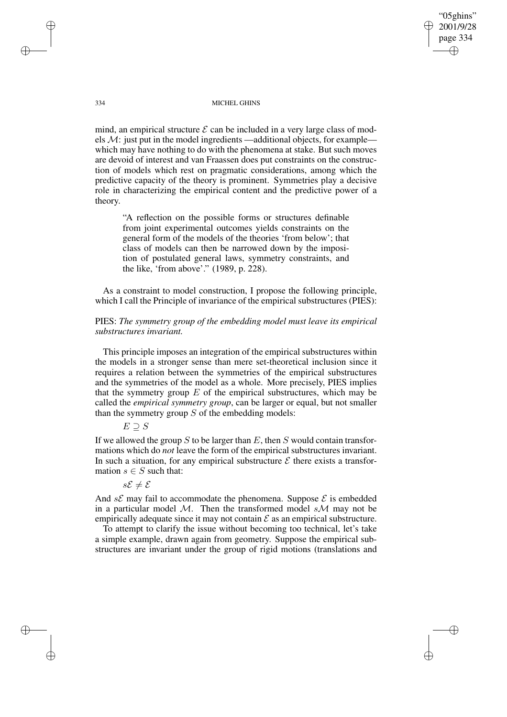mind, an empirical structure  $\mathcal E$  can be included in a very large class of models  $M$ : just put in the model ingredients —additional objects, for example which may have nothing to do with the phenomena at stake. But such moves are devoid of interest and van Fraassen does put constraints on the construction of models which rest on pragmatic considerations, among which the predictive capacity of the theory is prominent. Symmetries play a decisive role in characterizing the empirical content and the predictive power of a theory.

"A reflection on the possible forms or structures definable from joint experimental outcomes yields constraints on the general form of the models of the theories 'from below'; that class of models can then be narrowed down by the imposition of postulated general laws, symmetry constraints, and the like, 'from above'." (1989, p. 228).

As a constraint to model construction, I propose the following principle, which I call the Principle of invariance of the empirical substructures (PIES):

# PIES: *The symmetry group of the embedding model must leave its empirical substructures invariant.*

This principle imposes an integration of the empirical substructures within the models in a stronger sense than mere set-theoretical inclusion since it requires a relation between the symmetries of the empirical substructures and the symmetries of the model as a whole. More precisely, PIES implies that the symmetry group  $E$  of the empirical substructures, which may be called the *empirical symmetry group*, can be larger or equal, but not smaller than the symmetry group  $S$  of the embedding models:

$$
E \supseteq S
$$

If we allowed the group  $S$  to be larger than  $E$ , then  $S$  would contain transformations which do *not* leave the form of the empirical substructures invariant. In such a situation, for any empirical substructure  $\mathcal E$  there exists a transformation  $s \in S$  such that:

$$
s\mathcal{E}\neq\mathcal{E}
$$

And  $s\mathcal{E}$  may fail to accommodate the phenomena. Suppose  $\mathcal{E}$  is embedded in a particular model M. Then the transformed model  $s$ M may not be empirically adequate since it may not contain  $\mathcal E$  as an empirical substructure.

To attempt to clarify the issue without becoming too technical, let's take a simple example, drawn again from geometry. Suppose the empirical substructures are invariant under the group of rigid motions (translations and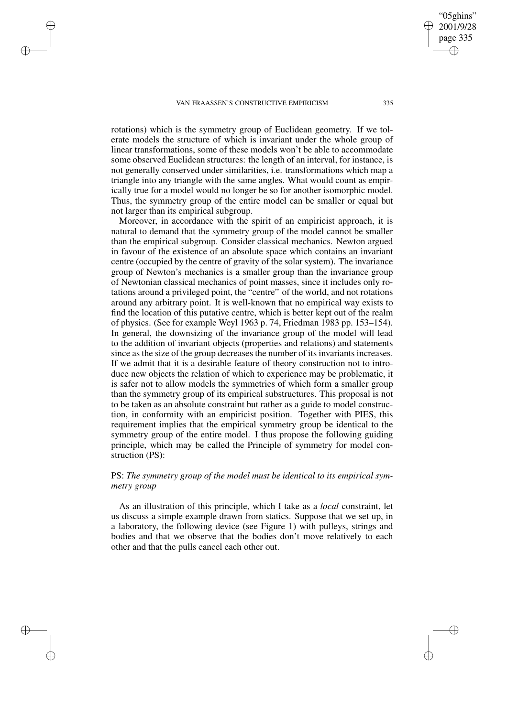rotations) which is the symmetry group of Euclidean geometry. If we tolerate models the structure of which is invariant under the whole group of linear transformations, some of these models won't be able to accommodate some observed Euclidean structures: the length of an interval, for instance, is not generally conserved under similarities, i.e. transformations which map a triangle into any triangle with the same angles. What would count as empirically true for a model would no longer be so for another isomorphic model. Thus, the symmetry group of the entire model can be smaller or equal but not larger than its empirical subgroup.

Moreover, in accordance with the spirit of an empiricist approach, it is natural to demand that the symmetry group of the model cannot be smaller than the empirical subgroup. Consider classical mechanics. Newton argued in favour of the existence of an absolute space which contains an invariant centre (occupied by the centre of gravity of the solar system). The invariance group of Newton's mechanics is a smaller group than the invariance group of Newtonian classical mechanics of point masses, since it includes only rotations around a privileged point, the "centre" of the world, and not rotations around any arbitrary point. It is well-known that no empirical way exists to find the location of this putative centre, which is better kept out of the realm of physics. (See for example Weyl 1963 p. 74, Friedman 1983 pp. 153–154). In general, the downsizing of the invariance group of the model will lead to the addition of invariant objects (properties and relations) and statements since as the size of the group decreases the number of its invariants increases. If we admit that it is a desirable feature of theory construction not to introduce new objects the relation of which to experience may be problematic, it is safer not to allow models the symmetries of which form a smaller group than the symmetry group of its empirical substructures. This proposal is not to be taken as an absolute constraint but rather as a guide to model construction, in conformity with an empiricist position. Together with PIES, this requirement implies that the empirical symmetry group be identical to the symmetry group of the entire model. I thus propose the following guiding principle, which may be called the Principle of symmetry for model construction (PS):

# PS: *The symmetry group of the model must be identical to its empirical symmetry group*

As an illustration of this principle, which I take as a *local* constraint, let us discuss a simple example drawn from statics. Suppose that we set up, in a laboratory, the following device (see Figure 1) with pulleys, strings and bodies and that we observe that the bodies don't move relatively to each other and that the pulls cancel each other out.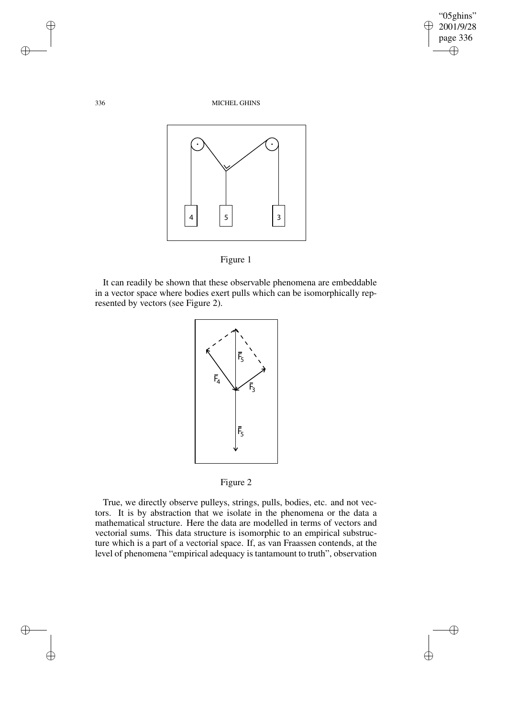



It can readily be shown that these observable phenomena are embeddable in a vector space where bodies exert pulls which can be isomorphically represented by vectors (see Figure 2).



Figure 2

True, we directly observe pulleys, strings, pulls, bodies, etc. and not vectors. It is by abstraction that we isolate in the phenomena or the data a mathematical structure. Here the data are modelled in terms of vectors and vectorial sums. This data structure is isomorphic to an empirical substructure which is a part of a vectorial space. If, as van Fraassen contends, at the level of phenomena "empirical adequacy is tantamount to truth", observation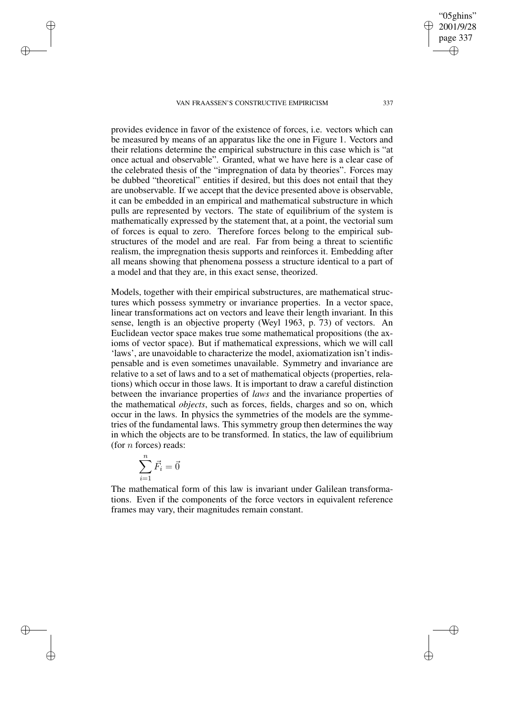provides evidence in favor of the existence of forces, i.e. vectors which can be measured by means of an apparatus like the one in Figure 1. Vectors and their relations determine the empirical substructure in this case which is "at once actual and observable". Granted, what we have here is a clear case of the celebrated thesis of the "impregnation of data by theories". Forces may be dubbed "theoretical" entities if desired, but this does not entail that they are unobservable. If we accept that the device presented above is observable, it can be embedded in an empirical and mathematical substructure in which pulls are represented by vectors. The state of equilibrium of the system is mathematically expressed by the statement that, at a point, the vectorial sum of forces is equal to zero. Therefore forces belong to the empirical substructures of the model and are real. Far from being a threat to scientific realism, the impregnation thesis supports and reinforces it. Embedding after all means showing that phenomena possess a structure identical to a part of a model and that they are, in this exact sense, theorized.

Models, together with their empirical substructures, are mathematical structures which possess symmetry or invariance properties. In a vector space, linear transformations act on vectors and leave their length invariant. In this sense, length is an objective property (Weyl 1963, p. 73) of vectors. An Euclidean vector space makes true some mathematical propositions (the axioms of vector space). But if mathematical expressions, which we will call 'laws', are unavoidable to characterize the model, axiomatization isn't indispensable and is even sometimes unavailable. Symmetry and invariance are relative to a set of laws and to a set of mathematical objects (properties, relations) which occur in those laws. It is important to draw a careful distinction between the invariance properties of *laws* and the invariance properties of the mathematical *objects*, such as forces, fields, charges and so on, which occur in the laws. In physics the symmetries of the models are the symmetries of the fundamental laws. This symmetry group then determines the way in which the objects are to be transformed. In statics, the law of equilibrium (for  $n$  forces) reads:

$$
\sum_{i=1}^{n} \vec{F}_i = \vec{0}
$$

The mathematical form of this law is invariant under Galilean transformations. Even if the components of the force vectors in equivalent reference frames may vary, their magnitudes remain constant.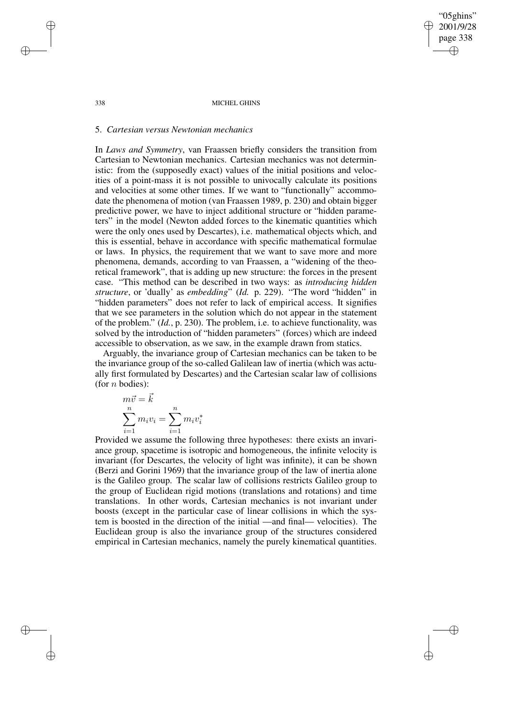### 5. *Cartesian versus Newtonian mechanics*

In *Laws and Symmetry*, van Fraassen briefly considers the transition from Cartesian to Newtonian mechanics. Cartesian mechanics was not deterministic: from the (supposedly exact) values of the initial positions and velocities of a point-mass it is not possible to univocally calculate its positions and velocities at some other times. If we want to "functionally" accommodate the phenomena of motion (van Fraassen 1989, p. 230) and obtain bigger predictive power, we have to inject additional structure or "hidden parameters" in the model (Newton added forces to the kinematic quantities which were the only ones used by Descartes), i.e. mathematical objects which, and this is essential, behave in accordance with specific mathematical formulae or laws. In physics, the requirement that we want to save more and more phenomena, demands, according to van Fraassen, a "widening of the theoretical framework", that is adding up new structure: the forces in the present case. "This method can be described in two ways: as *introducing hidden structure*, or 'dually' as *embedding*" (*Id.* p. 229). "The word "hidden" in "hidden parameters" does not refer to lack of empirical access. It signifies that we see parameters in the solution which do not appear in the statement of the problem." (*Id.*, p. 230). The problem, i.e. to achieve functionality, was solved by the introduction of "hidden parameters" (forces) which are indeed accessible to observation, as we saw, in the example drawn from statics.

Arguably, the invariance group of Cartesian mechanics can be taken to be the invariance group of the so-called Galilean law of inertia (which was actually first formulated by Descartes) and the Cartesian scalar law of collisions (for  $n$  bodies):

$$
\begin{aligned} m\vec{v} &= \vec{k} \\ \sum_{i=1}^n m_i v_i &= \sum_{i=1}^n m_i v_i^* \end{aligned}
$$

Provided we assume the following three hypotheses: there exists an invariance group, spacetime is isotropic and homogeneous, the infinite velocity is invariant (for Descartes, the velocity of light was infinite), it can be shown (Berzi and Gorini 1969) that the invariance group of the law of inertia alone is the Galileo group. The scalar law of collisions restricts Galileo group to the group of Euclidean rigid motions (translations and rotations) and time translations. In other words, Cartesian mechanics is not invariant under boosts (except in the particular case of linear collisions in which the system is boosted in the direction of the initial —and final— velocities). The Euclidean group is also the invariance group of the structures considered empirical in Cartesian mechanics, namely the purely kinematical quantities.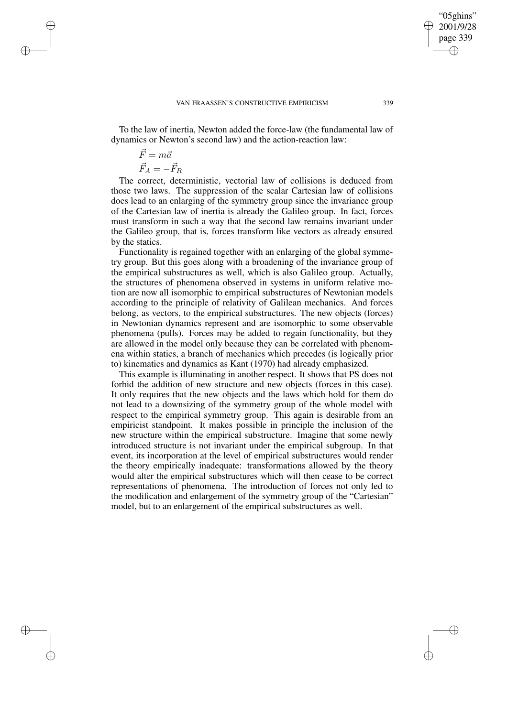To the law of inertia, Newton added the force-law (the fundamental law of dynamics or Newton's second law) and the action-reaction law:

$$
\vec{F} = m\vec{a}
$$

$$
\vec{F}_A = -\vec{F}_R
$$

The correct, deterministic, vectorial law of collisions is deduced from those two laws. The suppression of the scalar Cartesian law of collisions does lead to an enlarging of the symmetry group since the invariance group of the Cartesian law of inertia is already the Galileo group. In fact, forces must transform in such a way that the second law remains invariant under the Galileo group, that is, forces transform like vectors as already ensured by the statics.

Functionality is regained together with an enlarging of the global symmetry group. But this goes along with a broadening of the invariance group of the empirical substructures as well, which is also Galileo group. Actually, the structures of phenomena observed in systems in uniform relative motion are now all isomorphic to empirical substructures of Newtonian models according to the principle of relativity of Galilean mechanics. And forces belong, as vectors, to the empirical substructures. The new objects (forces) in Newtonian dynamics represent and are isomorphic to some observable phenomena (pulls). Forces may be added to regain functionality, but they are allowed in the model only because they can be correlated with phenomena within statics, a branch of mechanics which precedes (is logically prior to) kinematics and dynamics as Kant (1970) had already emphasized.

This example is illuminating in another respect. It shows that PS does not forbid the addition of new structure and new objects (forces in this case). It only requires that the new objects and the laws which hold for them do not lead to a downsizing of the symmetry group of the whole model with respect to the empirical symmetry group. This again is desirable from an empiricist standpoint. It makes possible in principle the inclusion of the new structure within the empirical substructure. Imagine that some newly introduced structure is not invariant under the empirical subgroup. In that event, its incorporation at the level of empirical substructures would render the theory empirically inadequate: transformations allowed by the theory would alter the empirical substructures which will then cease to be correct representations of phenomena. The introduction of forces not only led to the modification and enlargement of the symmetry group of the "Cartesian" model, but to an enlargement of the empirical substructures as well.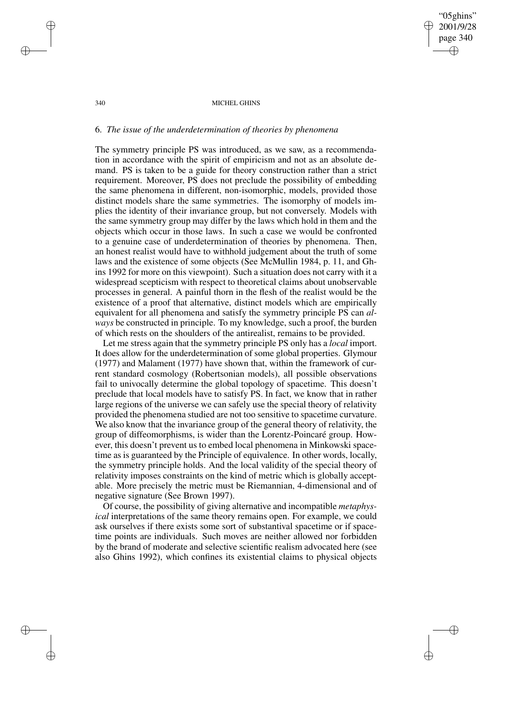# 6. *The issue of the underdetermination of theories by phenomena*

The symmetry principle PS was introduced, as we saw, as a recommendation in accordance with the spirit of empiricism and not as an absolute demand. PS is taken to be a guide for theory construction rather than a strict requirement. Moreover, PS does not preclude the possibility of embedding the same phenomena in different, non-isomorphic, models, provided those distinct models share the same symmetries. The isomorphy of models implies the identity of their invariance group, but not conversely. Models with the same symmetry group may differ by the laws which hold in them and the objects which occur in those laws. In such a case we would be confronted to a genuine case of underdetermination of theories by phenomena. Then, an honest realist would have to withhold judgement about the truth of some laws and the existence of some objects (See McMullin 1984, p. 11, and Ghins 1992 for more on this viewpoint). Such a situation does not carry with it a widespread scepticism with respect to theoretical claims about unobservable processes in general. A painful thorn in the flesh of the realist would be the existence of a proof that alternative, distinct models which are empirically equivalent for all phenomena and satisfy the symmetry principle PS can *always* be constructed in principle. To my knowledge, such a proof, the burden of which rests on the shoulders of the antirealist, remains to be provided.

Let me stress again that the symmetry principle PS only has a *local* import. It does allow for the underdetermination of some global properties. Glymour (1977) and Malament (1977) have shown that, within the framework of current standard cosmology (Robertsonian models), all possible observations fail to univocally determine the global topology of spacetime. This doesn't preclude that local models have to satisfy PS. In fact, we know that in rather large regions of the universe we can safely use the special theory of relativity provided the phenomena studied are not too sensitive to spacetime curvature. We also know that the invariance group of the general theory of relativity, the group of diffeomorphisms, is wider than the Lorentz-Poincaré group. However, this doesn't prevent us to embed local phenomena in Minkowski spacetime as is guaranteed by the Principle of equivalence. In other words, locally, the symmetry principle holds. And the local validity of the special theory of relativity imposes constraints on the kind of metric which is globally acceptable. More precisely the metric must be Riemannian, 4-dimensional and of negative signature (See Brown 1997).

Of course, the possibility of giving alternative and incompatible *metaphysical* interpretations of the same theory remains open. For example, we could ask ourselves if there exists some sort of substantival spacetime or if spacetime points are individuals. Such moves are neither allowed nor forbidden by the brand of moderate and selective scientific realism advocated here (see also Ghins 1992), which confines its existential claims to physical objects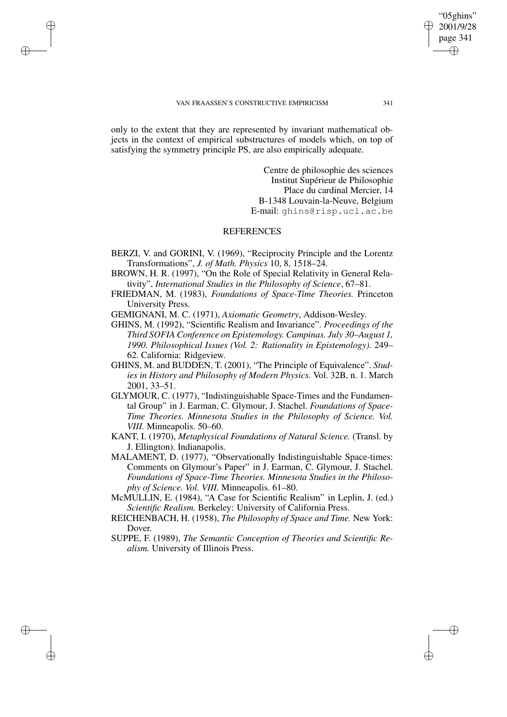only to the extent that they are represented by invariant mathematical objects in the context of empirical substructures of models which, on top of satisfying the symmetry principle PS, are also empirically adequate.

> Centre de philosophie des sciences Institut Supérieur de Philosophie Place du cardinal Mercier, 14 B-1348 Louvain-la-Neuve, Belgium E-mail: ghins@risp.ucl.ac.be

# **REFERENCES**

- BERZI, V. and GORINI, V. (1969), "Reciprocity Principle and the Lorentz Transformations", *J. of Math. Physics* 10, 8, 1518–24.
- BROWN, H. R. (1997), "On the Role of Special Relativity in General Relativity", *International Studies in the Philosophy of Science*, 67–81.
- FRIEDMAN, M. (1983), *Foundations of Space-Time Theories.* Princeton University Press.
- GEMIGNANI, M. C. (1971), *Axiomatic Geometry*, Addison-Wesley.
- GHINS, M. (1992), "Scientific Realism and Invariance". *Proceedings of the Third SOFIA Conference on Epistemology. Campinas. July 30–August 1, 1990. Philosophical Issues (Vol. 2: Rationality in Epistemology).* 249– 62. California: Ridgeview.
- GHINS, M. and BUDDEN, T. (2001), "The Principle of Equivalence". *Studies in History and Philosophy of Modern Physics.* Vol. 32B, n. 1. March 2001, 33–51.
- GLYMOUR, C. (1977), "Indistinguishable Space-Times and the Fundamental Group" in J. Earman, C. Glymour, J. Stachel. *Foundations of Space-Time Theories. Minnesota Studies in the Philosophy of Science. Vol. VIII.* Minneapolis. 50–60.
- KANT, I. (1970), *Metaphysical Foundations of Natural Science.* (Transl. by J. Ellington). Indianapolis.
- MALAMENT, D. (1977), "Observationally Indistinguishable Space-times: Comments on Glymour's Paper" in J. Earman, C. Glymour, J. Stachel. *Foundations of Space-Time Theories. Minnesota Studies in the Philosophy of Science. Vol. VIII.* Minneapolis. 61–80.
- McMULLIN, E. (1984), "A Case for Scientific Realism" in Leplin, J. (ed.) *Scientific Realism.* Berkeley: University of California Press.
- REICHENBACH, H. (1958), *The Philosophy of Space and Time.* New York: **Dover**
- SUPPE, F. (1989), *The Semantic Conception of Theories and Scientific Realism.* University of Illinois Press.